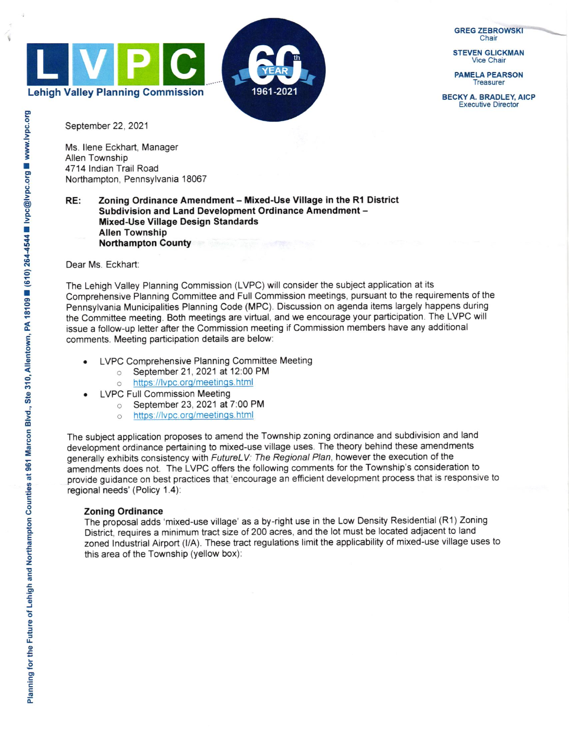

**GREG ZEBROWSKI** 

Vice Chair

PAMELA PEARSON **Treasurer** 

BECKY A. BRADLEY, AICP Executive Director

September 22, 2021

Ms. llene Eckhart, Manager Allen Township 4714 Indian Trail Road Northampton, Pennsylvania 18067

## RE: Zoning Ordinance Amendment - Mixed-Use Village in the R1 District Subdivision and Land Development Ordinance Amendment -Mixed-Use Village Design Standards Allen Township Northampton County

Dear Ms. Eckhart:

The Lehigh Valley Planning Commission (LVPC) will consider the subject application at its Comprehensive Planning Committee and Full Commission meetings, pursuant to the requirements of the Pennsylvania Municipalities Planning Code (MPC). Discussion on agenda items largely happens during the Committee meeting. Both meetings are virtual, and we encourage your participation. The LVPC will issue a follow-up letter after the Commission meeting if Commission members have any additional comments. Meeting participation details are below:

- LVPC Comprehensive Planning Committee Meeting
	- o September 21 ,2021 at 12:00 PM
	- o https://lvpc.org/meetings.html
- LVPC Full Commission Meeting
	- o September 23, 2021 at 7:00 PM
	- o https://lvpc.org/meetings.html

The subject application proposes to amend the Township zoning ordinance and subdivision and land development ordinance pertaining to mixed-use village uses. The theory behind these amendments generally exhibits consistency with FutureLV: The Regional Plan, however the execution of the amendments does not. The LVPC offers the following comments for the Township's consideration to provide guidance on best practices that'encourage an efficient development process that is responsive to regional needs' (Policy 1.4):

## Zoning Ordinance

The proposal adds 'mixed-use village' as a by-right use in the Low Density Residential (R1) Zoning District, requires a minimum tract size of 200 acres, and the lot must be located adjacent to land zoned lndustrial Airport (l/A). These tract regulations limit the applicability of mixed-use village uses to this area of the Township (yellow box):